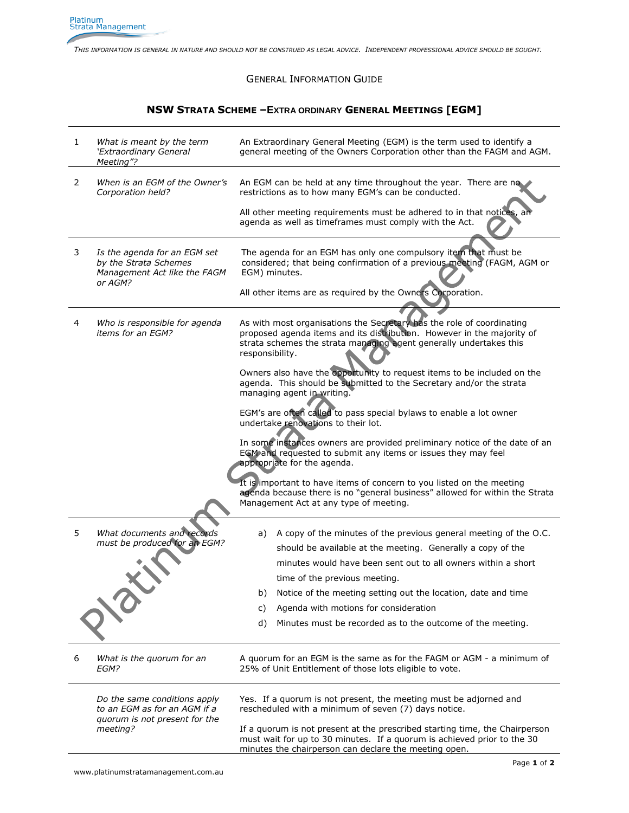*THIS INFORMATION IS GENERAL IN NATURE AND SHOULD NOT BE CONSTRUED AS LEGAL ADVICE. INDEPENDENT PROFESSIONAL ADVICE SHOULD BE SOUGHT.*

## GENERAL INFORMATION GUIDE

## **NSW STRATA SCHEME –EXTRA ORDINARY GENERAL MEETINGS [EGM]**

| 1 | What is meant by the term<br>'Extraordinary General                                              | An Extraordinary General Meeting (EGM) is the term used to identify a<br>general meeting of the Owners Corporation other than the FAGM and AGM.                                                                                          |
|---|--------------------------------------------------------------------------------------------------|------------------------------------------------------------------------------------------------------------------------------------------------------------------------------------------------------------------------------------------|
|   | Meeting"?                                                                                        |                                                                                                                                                                                                                                          |
| 2 | When is an EGM of the Owner's<br>Corporation held?                                               | An EGM can be held at any time throughout the year. There are no<br>restrictions as to how many EGM's can be conducted.                                                                                                                  |
|   |                                                                                                  | All other meeting requirements must be adhered to in that notices, an<br>agenda as well as timeframes must comply with the Act.                                                                                                          |
| 3 | Is the agenda for an EGM set<br>by the Strata Schemes<br>Management Act like the FAGM<br>or AGM? | The agenda for an EGM has only one compulsory item that must be<br>considered; that being confirmation of a previous meeting (FAGM, AGM or<br>EGM) minutes.                                                                              |
|   |                                                                                                  | All other items are as required by the Owners Corporation.                                                                                                                                                                               |
| 4 | Who is responsible for agenda<br><i>items for an EGM?</i>                                        | As with most organisations the Secretary has the role of coordinating<br>proposed agenda items and its distribution. However in the majority of<br>strata schemes the strata managing agent generally undertakes this<br>responsibility. |
|   |                                                                                                  | Owners also have the opportunity to request items to be included on the<br>agenda. This should be submitted to the Secretary and/or the strata<br>managing agent in writing.                                                             |
|   |                                                                                                  | EGM's are often called to pass special bylaws to enable a lot owner<br>undertake renovations to their lot.                                                                                                                               |
|   |                                                                                                  | In some instances owners are provided preliminary notice of the date of an<br>EGM and requested to submit any items or issues they may feel<br>appropriate for the agenda.                                                               |
|   |                                                                                                  | It is important to have items of concern to you listed on the meeting<br>agenda because there is no "general business" allowed for within the Strata<br>Management Act at any type of meeting.                                           |
|   |                                                                                                  |                                                                                                                                                                                                                                          |
| 5 | What documents and records<br>must be produced for an EGM?                                       | A copy of the minutes of the previous general meeting of the O.C.<br>a)                                                                                                                                                                  |
|   |                                                                                                  | should be available at the meeting. Generally a copy of the                                                                                                                                                                              |
|   |                                                                                                  | minutes would have been sent out to all owners within a short                                                                                                                                                                            |
|   |                                                                                                  | time of the previous meeting.                                                                                                                                                                                                            |
|   |                                                                                                  | Notice of the meeting setting out the location, date and time<br>b)                                                                                                                                                                      |
|   |                                                                                                  | Agenda with motions for consideration<br>C)                                                                                                                                                                                              |
|   |                                                                                                  | Minutes must be recorded as to the outcome of the meeting.<br>d)                                                                                                                                                                         |
|   |                                                                                                  |                                                                                                                                                                                                                                          |
| 6 | What is the quorum for an<br>EGM?                                                                | A quorum for an EGM is the same as for the FAGM or AGM - a minimum of<br>25% of Unit Entitlement of those lots eligible to vote.                                                                                                         |
|   | Do the same conditions apply<br>to an EGM as for an AGM if a<br>quorum is not present for the    | Yes. If a quorum is not present, the meeting must be adjorned and<br>rescheduled with a minimum of seven (7) days notice.                                                                                                                |
|   | meeting?                                                                                         | If a quorum is not present at the prescribed starting time, the Chairperson                                                                                                                                                              |

must wait for up to 30 minutes. If a quorum is achieved prior to the 30

minutes the chairperson can declare the meeting open.